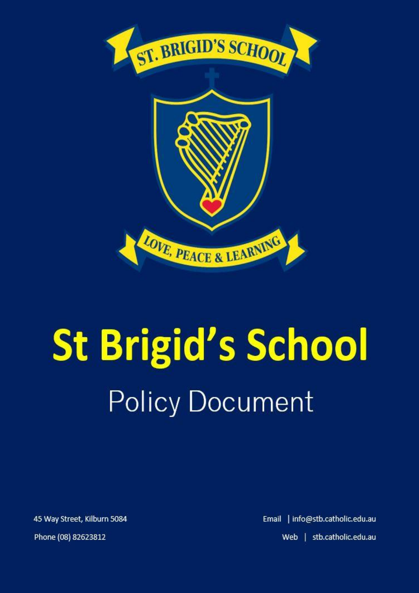



# **St Brigid's School Policy Document**

45 Way Street, Kilburn 5084

Phone (08) 82623812

Email | info@stb.catholic.edu.au Web | stb.catholic.edu.au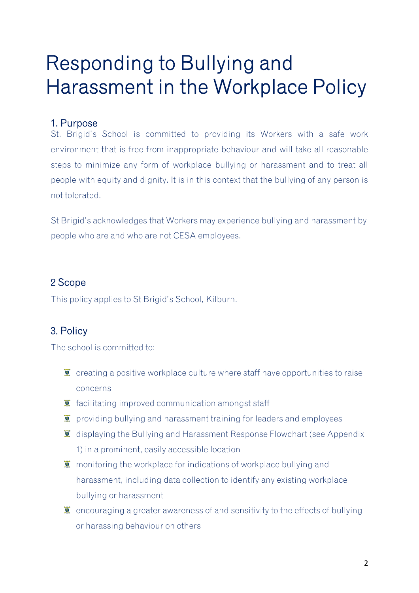# Responding to Bullying and Harassment in the Workplace Policy

#### 1. Purpose

St. Brigid's School is committed to providing its Workers with a safe work environment that is free from inappropriate behaviour and will take all reasonable steps to minimize any form of workplace bullying or harassment and to treat all people with equity and dignity. It is in this context that the bullying of any person is not tolerated.

St Brigid's acknowledges that Workers may experience bullying and harassment by people who are and who are not CESA employees.

## 2 Scope

This policy applies to St Brigid's School, Kilburn.

# 3. Policy

The school is committed to:

- **T** creating a positive workplace culture where staff have opportunities to raise concerns
- $\bullet$  facilitating improved communication amongst staff
- $\bullet$  providing bullying and harassment training for leaders and employees
- **T** displaying the Bullying and Harassment Response Flowchart (see Appendix 1) in a prominent, easily accessible location
- $\ddot{\mathbf{r}}$  monitoring the workplace for indications of workplace bullying and harassment, including data collection to identify any existing workplace bullying or harassment
- $\bar{I}$  encouraging a greater awareness of and sensitivity to the effects of bullying or harassing behaviour on others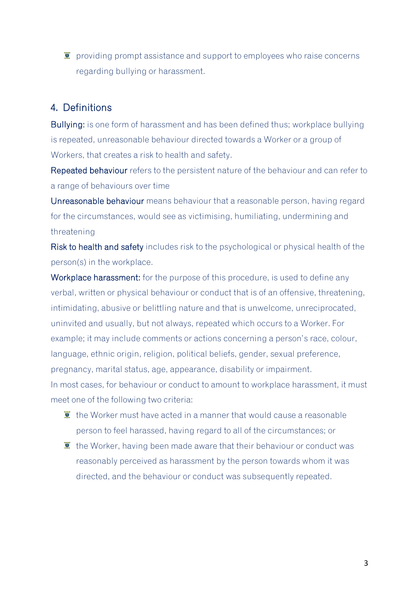$\ddot{\mathbf{r}}$  providing prompt assistance and support to employees who raise concerns regarding bullying or harassment.

#### 4. Definitions

Bullying: is one form of harassment and has been defined thus; workplace bullying is repeated, unreasonable behaviour directed towards a Worker or a group of Workers, that creates a risk to health and safety.

Repeated behaviour refers to the persistent nature of the behaviour and can refer to a range of behaviours over time

Unreasonable behaviour means behaviour that a reasonable person, having regard for the circumstances, would see as victimising, humiliating, undermining and threatening

Risk to health and safety includes risk to the psychological or physical health of the person(s) in the workplace.

Workplace harassment: for the purpose of this procedure, is used to define any verbal, written or physical behaviour or conduct that is of an offensive, threatening, intimidating, abusive or belittling nature and that is unwelcome, unreciprocated, uninvited and usually, but not always, repeated which occurs to a Worker. For example; it may include comments or actions concerning a person's race, colour, language, ethnic origin, religion, political beliefs, gender, sexual preference, pregnancy, marital status, age, appearance, disability or impairment. In most cases, for behaviour or conduct to amount to workplace harassment, it must meet one of the following two criteria:

- $\bullet$  the Worker must have acted in a manner that would cause a reasonable person to feel harassed, having regard to all of the circumstances; or
- $\ddot{\mathbf{r}}$  the Worker, having been made aware that their behaviour or conduct was reasonably perceived as harassment by the person towards whom it was directed, and the behaviour or conduct was subsequently repeated.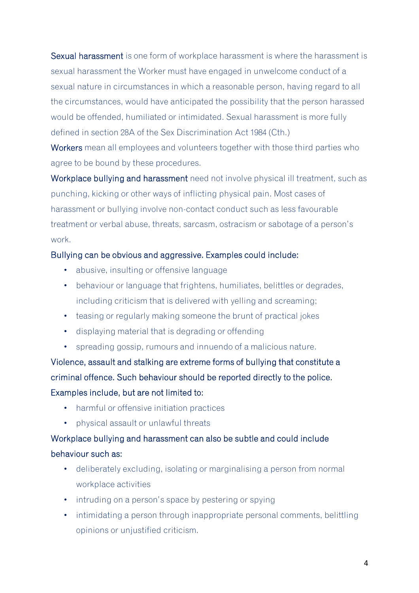Sexual harassment is one form of workplace harassment is where the harassment is sexual harassment the Worker must have engaged in unwelcome conduct of a sexual nature in circumstances in which a reasonable person, having regard to all the circumstances, would have anticipated the possibility that the person harassed would be offended, humiliated or intimidated. Sexual harassment is more fully defined in section 28A of the Sex Discrimination Act 1984 (Cth.)

Workers mean all employees and volunteers together with those third parties who agree to be bound by these procedures.

Workplace bullying and harassment need not involve physical ill treatment, such as punching, kicking or other ways of inflicting physical pain. Most cases of harassment or bullying involve non-contact conduct such as less favourable treatment or verbal abuse, threats, sarcasm, ostracism or sabotage of a person's work.

#### Bullying can be obvious and aggressive. Examples could include:

- abusive, insulting or offensive language
- behaviour or language that frightens, humiliates, belittles or degrades, including criticism that is delivered with yelling and screaming;
- teasing or regularly making someone the brunt of practical jokes
- displaying material that is degrading or offending
- spreading gossip, rumours and innuendo of a malicious nature.

Violence, assault and stalking are extreme forms of bullying that constitute a criminal offence. Such behaviour should be reported directly to the police. Examples include, but are not limited to:

- harmful or offensive initiation practices
- physical assault or unlawful threats

# Workplace bullying and harassment can also be subtle and could include behaviour such as:

- deliberately excluding, isolating or marginalising a person from normal workplace activities
- intruding on a person's space by pestering or spying
- intimidating a person through inappropriate personal comments, belittling opinions or unjustified criticism.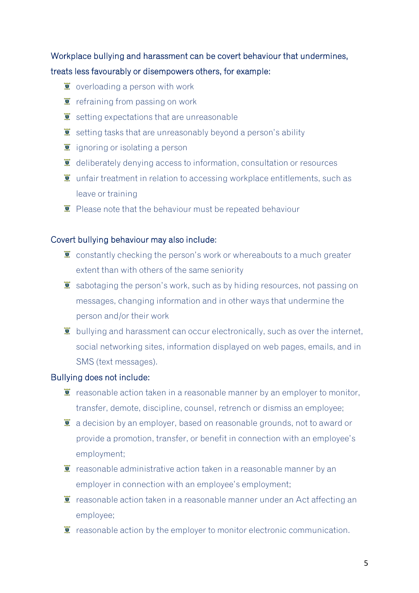# Workplace bullying and harassment can be covert behaviour that undermines, treats less favourably or disempowers others, for example:

- $\bullet$  overloading a person with work
- $\ddot{\mathbf{r}}$  refraining from passing on work
- $\ddot{\mathbf{z}}$  setting expectations that are unreasonable
- $\ddot{\bullet}$  setting tasks that are unreasonably beyond a person's ability
- $\ddot{\mathbf{I}}$  ignoring or isolating a person
- $\ddot{\mathbf{z}}$  deliberately denying access to information, consultation or resources
- $\ddot{\mathbf{v}}$  unfair treatment in relation to accessing workplace entitlements, such as leave or training
- $\overline{\bullet}$  Please note that the behaviour must be repeated behaviour

#### Covert bullying behaviour may also include:

- $\ddot{\mathbf{r}}$  constantly checking the person's work or whereabouts to a much greater extent than with others of the same seniority
- $\bar{I}$  sabotaging the person's work, such as by hiding resources, not passing on messages, changing information and in other ways that undermine the person and/or their work
- $\bar{I}$  bullying and harassment can occur electronically, such as over the internet, social networking sites, information displayed on web pages, emails, and in SMS (text messages).

#### Bullying does not include:

- $\ddot{\mathbf{r}}$  reasonable action taken in a reasonable manner by an employer to monitor, transfer, demote, discipline, counsel, retrench or dismiss an employee;
- $\bullet$  a decision by an employer, based on reasonable grounds, not to award or provide a promotion, transfer, or benefit in connection with an employee's employment;
- $\ddot{\mathbf{r}}$  reasonable administrative action taken in a reasonable manner by an employer in connection with an employee's employment;
- $\ddot{\bullet}$  reasonable action taken in a reasonable manner under an Act affecting an employee;
- $\ddot{\mathbf{r}}$  reasonable action by the employer to monitor electronic communication.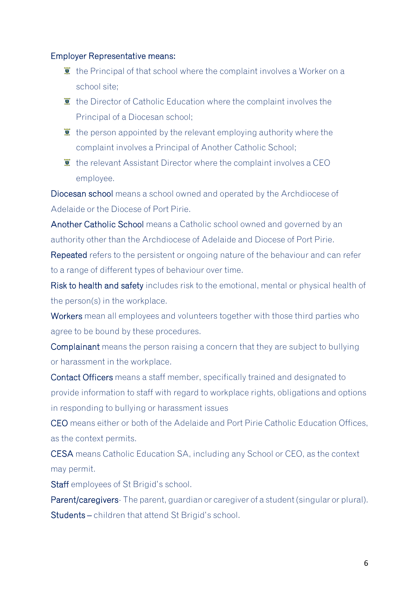#### Employer Representative means:

- $\bullet$  the Principal of that school where the complaint involves a Worker on a school site;
- $\bar{I}$  the Director of Catholic Education where the complaint involves the Principal of a Diocesan school;
- $\ddot{\bullet}$  the person appointed by the relevant employing authority where the complaint involves a Principal of Another Catholic School;
- $\bar{I}$  the relevant Assistant Director where the complaint involves a CEO employee.

Diocesan school means a school owned and operated by the Archdiocese of Adelaide or the Diocese of Port Pirie.

Another Catholic School means a Catholic school owned and governed by an authority other than the Archdiocese of Adelaide and Diocese of Port Pirie.

Repeated refers to the persistent or ongoing nature of the behaviour and can refer to a range of different types of behaviour over time.

Risk to health and safety includes risk to the emotional, mental or physical health of the person(s) in the workplace.

Workers mean all employees and volunteers together with those third parties who agree to be bound by these procedures.

Complainant means the person raising a concern that they are subject to bullying or harassment in the workplace.

Contact Officers means a staff member, specifically trained and designated to provide information to staff with regard to workplace rights, obligations and options in responding to bullying or harassment issues

CEO means either or both of the Adelaide and Port Pirie Catholic Education Offices, as the context permits.

CESA means Catholic Education SA, including any School or CEO, as the context may permit.

Staff employees of St Brigid's school.

Parent/caregivers- The parent, guardian or caregiver of a student (singular or plural). Students – children that attend St Brigid's school.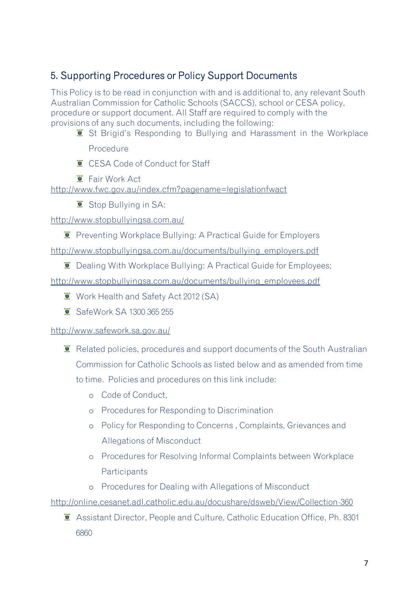# 5. Supporting Procedures or Policy Support Documents

This Policy is to be read in conjunction with and is additional to, any relevant South Australian Commission for Catholic Schools (SACCS), school or CESA policy, procedure or support document. All Staff are required to comply with the provisions of any such documents, including the following:

**E** St Brigid's Responding to Bullying and Harassment in the Workplace

Procedure

- **CESA Code of Conduct for Staff**
- **E** Fair Work Act

http://www.fwc.gov.au/index.cfm?pagename=legislationfwact

Stop Bullying in SA:

http://www.stopbullyingsa.com.au/

**E** Preventing Workplace Bullying: A Practical Guide for Employers

http://www.stopbullyingsa.com.au/documents/bullying\_employers.pdf

 $\bullet$  Dealing With Workplace Bullying: A Practical Guide for Employees;

http://www.stopbullyingsa.com.au/documents/bullying\_employees.pdf

- **Work Health and Safety Act 2012 (SA)**
- SafeWork SA 1300 365 255

#### <http://www.safework.sa.gov.au/>

- **E** Related policies, procedures and support documents of the South Australian Commission for Catholic Schools as listed below and as amended from time to time. Policies and procedures on this link include:
	- o Code of Conduct,
	- o Procedures for Responding to Discrimination
	- o Policy for Responding to Concerns , Complaints, Grievances and Allegations of Misconduct
	- o Procedures for Resolving Informal Complaints between Workplace **Participants**
	- o Procedures for Dealing with Allegations of Misconduct

http://online.cesanet.adl.catholic.edu.au/docushare/dsweb/View/Collection-360

Assistant Director, People and Culture, Catholic Education Office, Ph. 8301 6860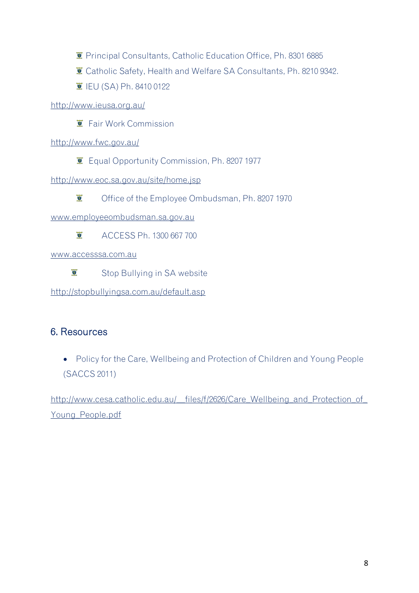- **E** Principal Consultants, Catholic Education Office, Ph. 8301 6885
- Catholic Safety, Health and Welfare SA Consultants, Ph. 8210 9342.
- IEU (SA) Ph. 8410 0122

http://www.ieusa.org.au/

Fair Work Commission

http://www.fwc.gov.au/

**E** Equal Opportunity Commission, Ph. 8207 1977

http://www.eoc.sa.gov.au/site/home.jsp

 $\vec{v}$ Office of the Employee Ombudsman, Ph. 8207 1970

www.employeeombudsman.sa.gov.au

 $\vec{g}$ ACCESS Ph. 1300 667 700

www.accesssa.com.au

 $\overline{\mathbf{U}}$ Stop Bullying in SA website

http://stopbullyingsa.com.au/default.asp

## 6. Resources

• Policy for the Care, Wellbeing and Protection of Children and Young People (SACCS 2011)

[http://www.cesa.catholic.edu.au/\\_\\_files/f/2626/Care\\_Wellbeing\\_and\\_Protection\\_of\\_](http://www.cesa.catholic.edu.au/__files/f/2626/Care_Wellbeing_and_Protection_of_Young_People.pdf) [Young\\_People.pdf](http://www.cesa.catholic.edu.au/__files/f/2626/Care_Wellbeing_and_Protection_of_Young_People.pdf)